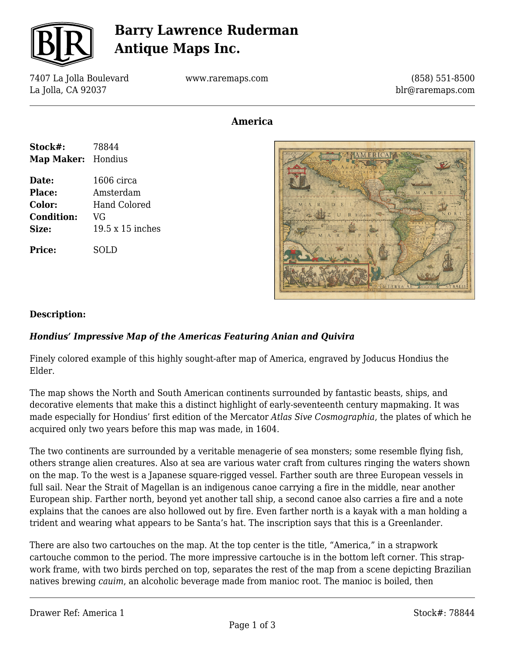

## **Barry Lawrence Ruderman Antique Maps Inc.**

7407 La Jolla Boulevard La Jolla, CA 92037

www.raremaps.com

(858) 551-8500 blr@raremaps.com

## **America**

| Stock#:            | 78844            |
|--------------------|------------------|
| Map Maker: Hondius |                  |
| Date:              | $1606$ circa     |
| Place:             | Amsterdam        |
| <b>Color:</b>      | Hand Colored     |
| <b>Condition:</b>  | VG               |
| Size:              | 19.5 x 15 inches |
| Price:             | SOLD             |



### **Description:**

### *Hondius' Impressive Map of the Americas Featuring Anian and Quivira*

Finely colored example of this highly sought-after map of America, engraved by Joducus Hondius the Elder.

The map shows the North and South American continents surrounded by fantastic beasts, ships, and decorative elements that make this a distinct highlight of early-seventeenth century mapmaking. It was made especially for Hondius' first edition of the Mercator *Atlas Sive Cosmographia*, the plates of which he acquired only two years before this map was made, in 1604.

The two continents are surrounded by a veritable menagerie of sea monsters; some resemble flying fish, others strange alien creatures. Also at sea are various water craft from cultures ringing the waters shown on the map. To the west is a Japanese square-rigged vessel. Farther south are three European vessels in full sail. Near the Strait of Magellan is an indigenous canoe carrying a fire in the middle, near another European ship. Farther north, beyond yet another tall ship, a second canoe also carries a fire and a note explains that the canoes are also hollowed out by fire. Even farther north is a kayak with a man holding a trident and wearing what appears to be Santa's hat. The inscription says that this is a Greenlander.

There are also two cartouches on the map. At the top center is the title, "America," in a strapwork cartouche common to the period. The more impressive cartouche is in the bottom left corner. This strapwork frame, with two birds perched on top, separates the rest of the map from a scene depicting Brazilian natives brewing *cauim*, an alcoholic beverage made from manioc root. The manioc is boiled, then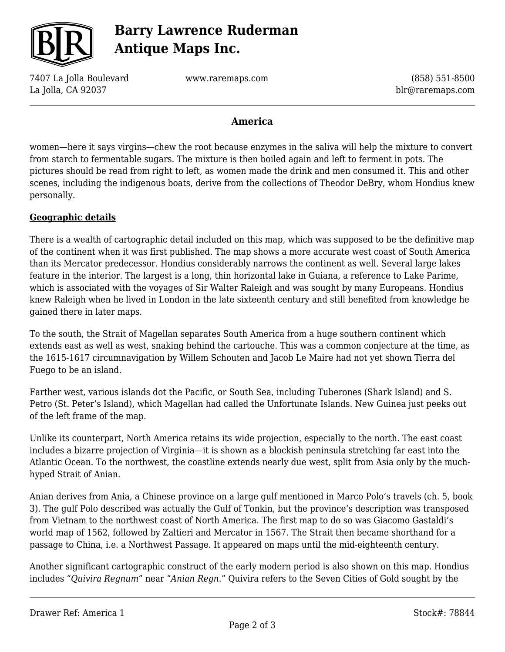

# **Barry Lawrence Ruderman Antique Maps Inc.**

7407 La Jolla Boulevard La Jolla, CA 92037

www.raremaps.com

(858) 551-8500 blr@raremaps.com

## **America**

women—here it says virgins—chew the root because enzymes in the saliva will help the mixture to convert from starch to fermentable sugars. The mixture is then boiled again and left to ferment in pots. The pictures should be read from right to left, as women made the drink and men consumed it. This and other scenes, including the indigenous boats, derive from the collections of Theodor DeBry, whom Hondius knew personally.

#### **Geographic details**

There is a wealth of cartographic detail included on this map, which was supposed to be the definitive map of the continent when it was first published. The map shows a more accurate west coast of South America than its Mercator predecessor. Hondius considerably narrows the continent as well. Several large lakes feature in the interior. The largest is a long, thin horizontal lake in Guiana, a reference to Lake Parime, which is associated with the voyages of Sir Walter Raleigh and was sought by many Europeans. Hondius knew Raleigh when he lived in London in the late sixteenth century and still benefited from knowledge he gained there in later maps.

To the south, the Strait of Magellan separates South America from a huge southern continent which extends east as well as west, snaking behind the cartouche. This was a common conjecture at the time, as the 1615-1617 circumnavigation by Willem Schouten and Jacob Le Maire had not yet shown Tierra del Fuego to be an island.

Farther west, various islands dot the Pacific, or South Sea, including Tuberones (Shark Island) and S. Petro (St. Peter's Island), which Magellan had called the Unfortunate Islands. New Guinea just peeks out of the left frame of the map.

Unlike its counterpart, North America retains its wide projection, especially to the north. The east coast includes a bizarre projection of Virginia—it is shown as a blockish peninsula stretching far east into the Atlantic Ocean. To the northwest, the coastline extends nearly due west, split from Asia only by the muchhyped Strait of Anian.

Anian derives from Ania, a Chinese province on a large gulf mentioned in Marco Polo's travels (ch. 5, book 3). The gulf Polo described was actually the Gulf of Tonkin, but the province's description was transposed from Vietnam to the northwest coast of North America. The first map to do so was Giacomo Gastaldi's world map of 1562, followed by Zaltieri and Mercator in 1567. The Strait then became shorthand for a passage to China, i.e. a Northwest Passage. It appeared on maps until the mid-eighteenth century.

Another significant cartographic construct of the early modern period is also shown on this map. Hondius includes "*Quivira Regnum*" near "*Anian Regn*." Quivira refers to the Seven Cities of Gold sought by the